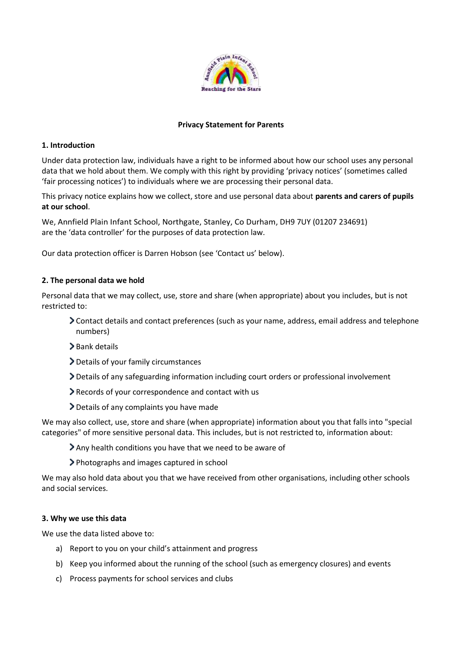

## **Privacy Statement for Parents**

## **1. Introduction**

Under data protection law, individuals have a right to be informed about how our school uses any personal data that we hold about them. We comply with this right by providing 'privacy notices' (sometimes called 'fair processing notices') to individuals where we are processing their personal data.

This privacy notice explains how we collect, store and use personal data about **parents and carers of pupils at our school**.

We, Annfield Plain Infant School, Northgate, Stanley, Co Durham, DH9 7UY (01207 234691) are the 'data controller' for the purposes of data protection law.

Our data protection officer is Darren Hobson (see 'Contact us' below).

# **2. The personal data we hold**

Personal data that we may collect, use, store and share (when appropriate) about you includes, but is not restricted to:

- Contact details and contact preferences (such as your name, address, email address and telephone numbers)
- > Bank details
- Details of your family circumstances
- Details of any safeguarding information including court orders or professional involvement
- Records of your correspondence and contact with us
- Details of any complaints you have made

We may also collect, use, store and share (when appropriate) information about you that falls into "special categories" of more sensitive personal data. This includes, but is not restricted to, information about:

- Any health conditions you have that we need to be aware of
- Photographs and images captured in school

We may also hold data about you that we have received from other organisations, including other schools and social services.

### **3. Why we use this data**

We use the data listed above to:

- a) Report to you on your child's attainment and progress
- b) Keep you informed about the running of the school (such as emergency closures) and events
- c) Process payments for school services and clubs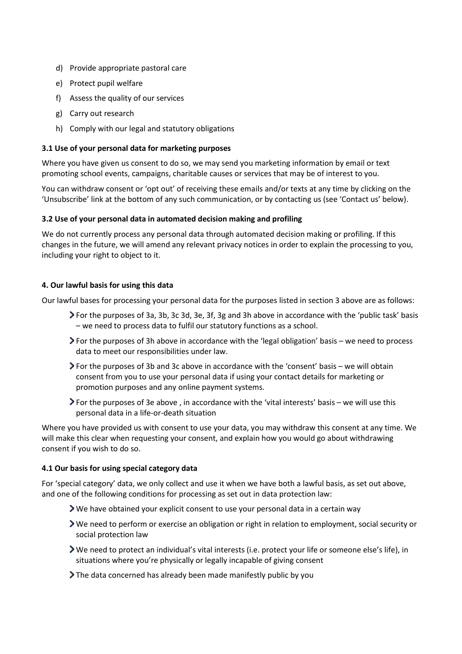- d) Provide appropriate pastoral care
- e) Protect pupil welfare
- f) Assess the quality of our services
- g) Carry out research
- h) Comply with our legal and statutory obligations

## **3.1 Use of your personal data for marketing purposes**

Where you have given us consent to do so, we may send you marketing information by email or text promoting school events, campaigns, charitable causes or services that may be of interest to you.

You can withdraw consent or 'opt out' of receiving these emails and/or texts at any time by clicking on the 'Unsubscribe' link at the bottom of any such communication, or by contacting us (see 'Contact us' below).

# **3.2 Use of your personal data in automated decision making and profiling**

We do not currently process any personal data through automated decision making or profiling. If this changes in the future, we will amend any relevant privacy notices in order to explain the processing to you, including your right to object to it.

# **4. Our lawful basis for using this data**

Our lawful bases for processing your personal data for the purposes listed in section 3 above are as follows:

- For the purposes of 3a, 3b, 3c 3d, 3e, 3f, 3g and 3h above in accordance with the 'public task' basis – we need to process data to fulfil our statutory functions as a school.
- For the purposes of 3h above in accordance with the 'legal obligation' basis we need to process data to meet our responsibilities under law.
- For the purposes of 3b and 3c above in accordance with the 'consent' basis we will obtain consent from you to use your personal data if using your contact details for marketing or promotion purposes and any online payment systems.
- For the purposes of 3e above , in accordance with the 'vital interests' basis we will use this personal data in a life-or-death situation

Where you have provided us with consent to use your data, you may withdraw this consent at any time. We will make this clear when requesting your consent, and explain how you would go about withdrawing consent if you wish to do so.

### **4.1 Our basis for using special category data**

For 'special category' data, we only collect and use it when we have both a lawful basis, as set out above, and one of the following conditions for processing as set out in data protection law:

- We have obtained your explicit consent to use your personal data in a certain way
- We need to perform or exercise an obligation or right in relation to employment, social security or social protection law
- We need to protect an individual's vital interests (i.e. protect your life or someone else's life), in situations where you're physically or legally incapable of giving consent
- The data concerned has already been made manifestly public by you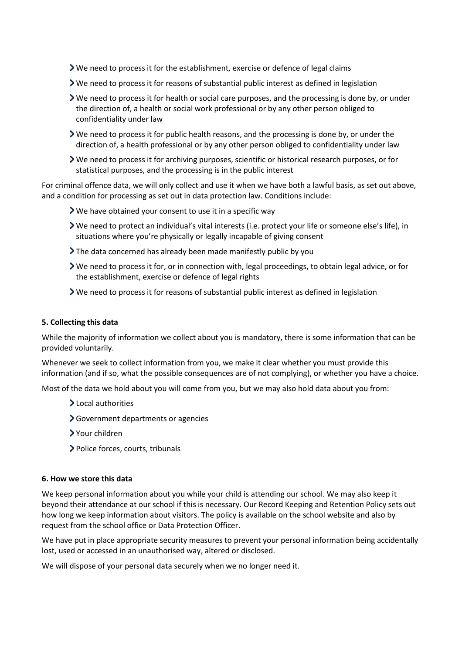- We need to process it for the establishment, exercise or defence of legal claims
- We need to process it for reasons of substantial public interest as defined in legislation
- We need to process it for health or social care purposes, and the processing is done by, or under the direction of, a health or social work professional or by any other person obliged to confidentiality under law
- We need to process it for public health reasons, and the processing is done by, or under the direction of, a health professional or by any other person obliged to confidentiality under law
- We need to process it for archiving purposes, scientific or historical research purposes, or for statistical purposes, and the processing is in the public interest

For criminal offence data, we will only collect and use it when we have both a lawful basis, as set out above, and a condition for processing as set out in data protection law. Conditions include:

- We have obtained your consent to use it in a specific way
- We need to protect an individual's vital interests (i.e. protect your life or someone else's life), in situations where you're physically or legally incapable of giving consent
- The data concerned has already been made manifestly public by you
- We need to process it for, or in connection with, legal proceedings, to obtain legal advice, or for the establishment, exercise or defence of legal rights
- We need to process it for reasons of substantial public interest as defined in legislation

### **5. Collecting this data**

While the majority of information we collect about you is mandatory, there is some information that can be provided voluntarily.

Whenever we seek to collect information from you, we make it clear whether you must provide this information (and if so, what the possible consequences are of not complying), or whether you have a choice.

Most of the data we hold about you will come from you, but we may also hold data about you from:

- >Local authorities
- Government departments or agencies
- Your children
- > Police forces, courts, tribunals

#### **6. How we store this data**

We keep personal information about you while your child is attending our school. We may also keep it beyond their attendance at our school if this is necessary. Our Record Keeping and Retention Policy sets out how long we keep information about visitors. The policy is available on the school website and also by request from the school office or Data Protection Officer.

We have put in place appropriate security measures to prevent your personal information being accidentally lost, used or accessed in an unauthorised way, altered or disclosed.

We will dispose of your personal data securely when we no longer need it.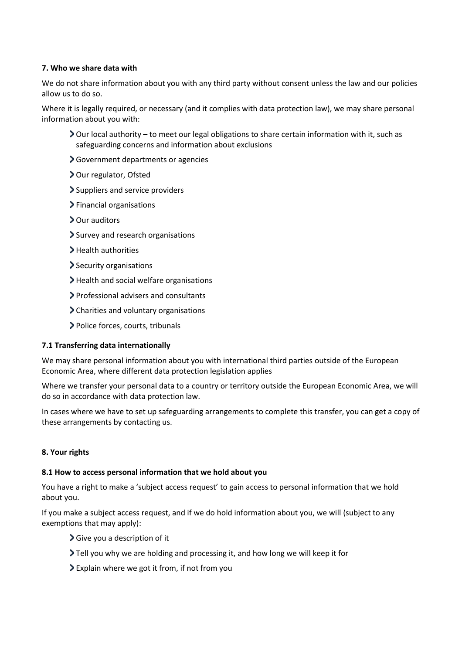# **7. Who we share data with**

We do not share information about you with any third party without consent unless the law and our policies allow us to do so.

Where it is legally required, or necessary (and it complies with data protection law), we may share personal information about you with:

- Our local authority to meet our legal obligations to share certain information with it, such as safeguarding concerns and information about exclusions
- Government departments or agencies
- > Our regulator, Ofsted
- Suppliers and service providers
- > Financial organisations
- > Our auditors
- Survey and research organisations
- > Health authorities
- > Security organisations
- > Health and social welfare organisations
- Professional advisers and consultants
- Charities and voluntary organisations
- Police forces, courts, tribunals

### **7.1 Transferring data internationally**

We may share personal information about you with international third parties outside of the European Economic Area, where different data protection legislation applies

Where we transfer your personal data to a country or territory outside the European Economic Area, we will do so in accordance with data protection law.

In cases where we have to set up safeguarding arrangements to complete this transfer, you can get a copy of these arrangements by contacting us.

### **8. Your rights**

### **8.1 How to access personal information that we hold about you**

You have a right to make a 'subject access request' to gain access to personal information that we hold about you.

If you make a subject access request, and if we do hold information about you, we will (subject to any exemptions that may apply):

- Give you a description of it
- Tell you why we are holding and processing it, and how long we will keep it for
- Explain where we got it from, if not from you